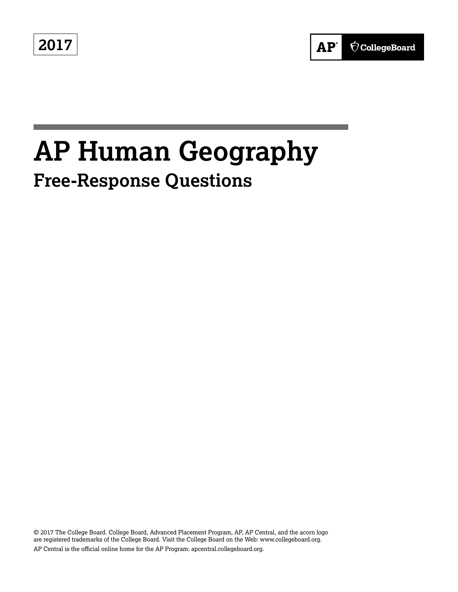**2017**



# **AP Human Geography Free-Response Questions**

© 2017 The College Board. College Board, Advanced Placement Program, AP, AP Central, and the acorn logo are registered trademarks of the College Board. Visit the College Board on the Web: www.collegeboard.org. AP Central is the official online home for the AP Program: apcentral.collegeboard.org.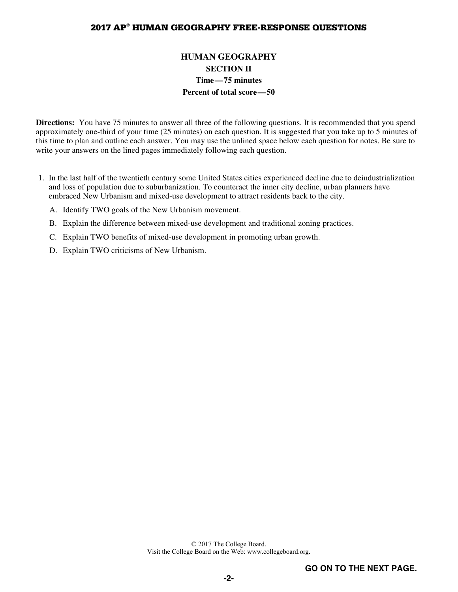# **2017 AP® HUMAN GEOGRAPHY FREE-RESPONSE QUESTIONS**

# **HUMAN GEOGRAPHY SECTION II Time—75 minutes Percent of total score—50**

**Directions:** You have **75 minutes** to answer all three of the following questions. It is recommended that you spend approximately one-third of your time (25 minutes) on each question. It is suggested that you take up to 5 minutes of this time to plan and outline each answer. You may use the unlined space below each question for notes. Be sure to write your answers on the lined pages immediately following each question.

- 1. In the last half of the twentieth century some United States cities experienced decline due to deindustrialization and loss of population due to suburbanization. To counteract the inner city decline, urban planners have embraced New Urbanism and mixed-use development to attract residents back to the city.
	- A. Identify TWO goals of the New Urbanism movement.
	- B. Explain the difference between mixed-use development and traditional zoning practices.
	- C. Explain TWO benefits of mixed-use development in promoting urban growth.
	- D. Explain TWO criticisms of New Urbanism.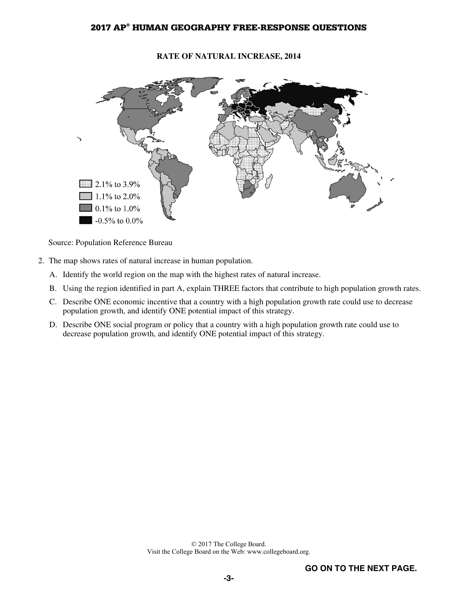# **2017 AP® HUMAN GEOGRAPHY FREE-RESPONSE QUESTIONS**

#### **RATE OF NATURAL INCREASE, 2014**



Source: Population Reference Bureau

- 2. The map shows rates of natural increase in human population.
	- A. Identify the world region on the map with the highest rates of natural increase.
	- B. Using the region identified in part A, explain THREE factors that contribute to high population growth rates.
	- C. Describe ONE economic incentive that a country with a high population growth rate could use to decrease population growth, and identify ONE potential impact of this strategy.
	- D. Describe ONE social program or policy that a country with a high population growth rate could use to decrease population growth, and identify ONE potential impact of this strategy.